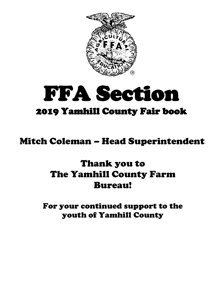

# FFA Section 2019 Yamhill County Fair book

# Mitch Coleman – Head Superintendent

# Thank you to The Yamhill County Farm Bureau!

For your continued support to the youth of Yamhill County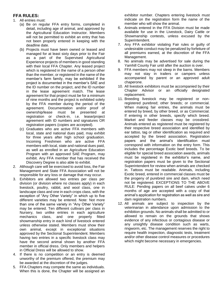# **FFA RULES:**

- 1. All entries must:
	- (a) Be on regular FFA entry forms, completed in detail, including age of animal, and approved by the Agricultural Education Instructor. Members will not be permitted to exhibit an entry that has not been properly entered in keeping with the deadline date.
	- (b) Projects must have been owned or leased and managed for at least sixty days prior to the Fair as a part of the Supervised Agricultural Experience projects of members in good standing with their local FFA Chapter. Any leased project which is registered in the name of a person other than the member, or registered in the name of the member's farm family, may be exhibited if the project is documented in the member's SAE and the ID number on the project, and the ID number in the lease agreement match. The lease agreement for that project must be for a minimum of nine months and the project is exhibited solely by the FFA member during the period of the agreement. Documentation and/or proof of ownership/lease must be presented at registration or check-in, i.e. lease/project agreement with ID numbers and signatures OR registration papers (copies are accepted).
	- (c) Graduates who are active FFA members with local, state and national dues paid, may exhibit for three years after high school graduation. Incoming Freshmen who are active FFA members with local, state and national dues paid, as well as enrolled in an Agriculture Education Program with an approved SAE Program, may exhibit. Any FFA member that has received the Discovery Degree is also able to exhibit.
- 2. Although care will be exercised to avoid loss, the Fair Management and State FFA Association will not be responsible for any loss or damage that may occur.
- 3. Exhibitors are allowed two entries per class per division (or division where no classes apply) in each livestock, poultry, rabbit, and wool class, one in landscape class and one in each crops class, with the exception of "Any Other Variety" in which up to five different varieties may be entered. Note: Not more than one of the same variety in "Any Other Variety" may be entered. Ten different cultivars per class in Nursery, two unlike entries in each agriculture mechanics class, and one properly fitted showmanship entry in each kind of livestock entered unless otherwise stated. Members must show their own animal, except in exceptional situations approved by the Sectional Superintendent. Members having two entries in a specific livestock class may have the second animal shown by another FFA member in official dress. Only members and helpers in Official Dress will be allowed to show.
- 4. If there is no competition or an entry is deemed unworthy of the premium offered, the premium may be awarded at the discretion of the judges.
- 5. FFA Chapters may compete the same as individuals. When this is done, the Chapter will be assigned an

exhibitor number. Chapters entering livestock must indicate on the registration form the name of the member who will show the animal.

- 6. Animals entered in the FFA Division must be made available for use in the Livestock, Dairy Cattle or Showmanship contests, unless excused by the Superintendent.
- 7. Any FFA exhibitor violating Fair rules or guilty of undesirable conduct may be penalized by forfeiture of all premiums earned, at the discretion of the FFA Management.
- 8. No animals may be advertised for sale during the Yamhill County Fair until after the auction is over.
- 9. FFA members may not sleep in the barns. Members may not stay in trailers or campers unless accompanied by parent or an approved adult chaperone.
- 10. All livestock exhibitors must be accompanied by their Chapter Advisor or an officially designated replacement.
- 11. Breeding livestock may be registered or nonregistered purebred; other breeds; or commercial. When making fair entries, the animals must be entered by breed, by other breed, or as Commercial. If entering in other breeds, specify which breed. Market and feeder classes may be crossbred. Animals entered as registered must be registered by their respective breed association and identified by ear tattoo, tag or other identification as required and accepted by the breed association. Registration papers and the animal's identification must correspond with information on the entry form. This includes the percentage Exotic beef breeds. To be eligible for special breed association awards, animals must be registered in the exhibitor's name, and registration papers must be given to the Sectional Superintendent for review when animals are checked in. Tattoos must be readable. Animals, including Exotic breed, entered in commercial classes must be the progeny of purebred sire and dam, which need not be registered. EXCEPTIONS TO THE ABOVE RULE: Pending papers on all beef calves under 6 months of age are accepted with a copy of that animal's application for registration as well as sire and dam registration numbers.
- 12. All animals are subject to inspection by the veterinarian in attendance upon admission to the exhibition grounds. No animals shall be admitted to or allowed to remain on the grounds that shows evidence of any infectious or contagious disease or any unsightly disease condition such as warts, ringworm, etc. The management reserves the right to require health inspection, diagnostic tests, treatment and/or other disease control measures or procedures which might become necessary in emergencies.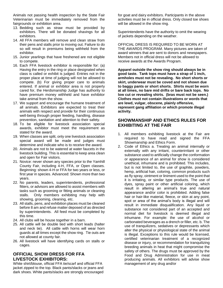Animals not passing health inspection by the State Fair Veterinarian must be immediately removed from the fairgrounds or exhibition area.

- 13. Bedding such as straw must be provided by exhibitors. There will be donated shavings for all exhibitors.
- 14. All FFA members will remove and clean straw from their pens and stalls prior to moving out. Failure to do so will result in premiums being withheld from the exhibitor.
- 15. Junior yearlings that have freshened are not eligible to compete.
- 16. Each FFA livestock exhibitor is responsible for: (a) Having the entry in the ring or place designated when class is called or exhibit is judged. Entries not in the proper place at time of judging will not be allowed to compete. (b) For giving proper care to animals entered. If animal or exhibitor area is not properly cared for, the Herdsmanship Judge has authority to have premium money withheld and have exhibitor take animal from the show.
- 17. We support and encourage the humane treatment of all animals. Exhibitors are expected to treat their animals with respect and provide for their continuous well-being through proper feeding, handling, disease prevention, sanitation and attention to their safety.
- 18. To be eligible for livestock association special awards, exhibitor must meet the requirement as stated for the award.
- 19. When classes are split, only one livestock association special award will be made and judges must determine and indicate who is to receive the award.
- 20. Animals are not to be watered at water faucets in the livestock building. This is essential to keep area clean and open for Fair visitors.
- 21. Novice: never shown any species prior to the Yamhill County Fair, including 4-H, FFA, or Open classes. Beginning: shown 4-H or FFA for two years or less, or first year in species. Advanced: Shown more than two years.
- 22. No parents, leaders, superintendents, professional fitters, or advisors are allowed to assist members with tasks such as grooming or fitting animals or cleaning stalls. Only members exhibiting may help with showing, grooming, cleaning, etc.
- 23. All stalls, pens, and exhibition places must be cleaned before 8 am and refuse matter deposed of as directed by superintendents. All feed must be completed by this time.
- 24. All clubs will be house together in a barn.
- 25. All cattle will be double tied with short leads (halter and neck tie). All cattle with horns will wear horn guards at all times except the show ring. Tie outs are not allowed at county fair.
- 26. All livestock will have identifying cards on stalls or cages.

# **OFFICIAL SHOW DRESS FOR FFA LIVESTOCK EXHIBITORS:**

White shirt/blouse, official FFA tie/scarf and official FFA jacket zipped to the top. Black pants/slacks or jeans and dark shoes. White pants/slacks are strongly encouraged

for goat and dairy exhibitors. Participants in the above activities must be in official dress. Only closed toe shoes will be allowed in the show ring.

Superintendents have the authority to omit the wearing of jackets depending on the weather.

OFFICIAL DRESS IS REQUIRED TO BE WORN AT THE AWARDS PROGRAM. Many pictures are taken of award winners that are sent to donors and newspapers. Members not in official dress will not be allowed to receive awards at the Awards Program.

**Apparel outside the show ring should always be in good taste. Tank tops must have a strap of 1 inch, armholes must not be revealing. No short shorts or skirt, underwear must be coved and not shown due to baggy pants or short shorts. Shirts must be worn at all times, no bare mid drifts or bare back tops. No low cut or revealing shirts. (bras must not be seen.) Clothes must not contain illustrations or words that are lewd, vulgar, obscene, plainly offensive, represent gang affiliation or which promote illegal activity.** 

# **SHOWMANSHIP AND ETHICS RULES FOR EXHIBITING AT THE FAIR**

- 1. All members exhibiting livestock at the Fair are required to have read and signed the FFA Showmanship and Ethics Form.
- 2. Code of Ethics a. Treating an animal internally or externally with any irritant, counterirritant or other substance used to artificially change the conformation or appearance of an animal for show is considered unethical, inhumane and is prohibited. This includes, but is not limited to, the use of graphite, powders, hemp, artificial hair, coloring, common products such as fly spray, ointment or liniment used to the point that it is irritating, or similar type products. The use of dyes, spray paint or other artificial coloring, which result in altering an animal's true and natural appearance and/or color is prohibited. Adding false hair or hair-like material, fleece, or skin at any point, spot or area of the animal's body is illegal and will result in immediate disqualification. Any liquid or substance not considered part of an accepted and normal diet for livestock is deemed illegal and inhumane. For example: the use of alcohol or carbonated beverages as a drench or filler, etc. b. The use of tranquilizers, sedatives or depressants which alter the physical or physiological state of the animal is illegal. Exceptions to this rule would be licensed, certified veterinarian treatment of a recognized disease or injury, or recommendation for tranquilizing breeding animals in heat that might compromise the safety of others. The drugs must be approved by the Food and Drug Administration for use in meat producing animals. All exhibitors will advise show management of any drug and/or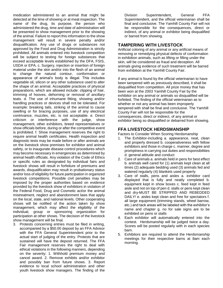medication administered to an animal that might be detected at the time of showing or at meat inspection. The name of the drug, its purpose, the person who administered the drug, time and date of administration will be presented to show management prior to the showing of the animal. Failure to report this information to the show management will result in severe penalty and/or disqualification. Any use of drugs or substances not approved by the Food and Drug Administration is strictly prohibited. All animals entered into livestock competition will be subject to testing for foreign substances that exceed acceptable levels established by the DFA, FSIS, USDA or EPA. c. Surgery, injection or insertion of foreign material under the skin and/or into the flesh of an animal to change the natural contour, conformation or appearance of animal's body is illegal. This includes vegetable oil, silicon or any other substance used to alter the shape of an animal. Acceptable practices of physical preparations, which are allowed include: clipping of hair, trimming of hooves, dehorning or removal of ancillary teats. d. The use of inhumane fitting, showing and/or handling practices or devices shall not be tolerated. For example: breaking tails, striking of the animal to cause swelling or for bracing purposes, use of any electrical contrivance, muzzles, etc. is not acceptable. e. Direct criticism or interference with the judge, show management, other exhibitors, breed representatives or show officials before, during or after the competitive event is prohibited. f. Show management reserves the right to require animal health certificates. Health inspection and diagnostic tests may be made before or after animals are on the livestock show premises for exhibitor and animal safety, or to inaugurate disease control procedures which may become necessary in emergencies as determined by animal health officials. Any violation of the Code of Ethics or specific rules as designated by individual fairs and livestock shows will result in forfeiture of premiums and awards, disqualification may result in probationary status and/or loss of eligibility for future participation in organized livestock competitions. Possible civil penalties may be imposed by the proper authorities based on evidence provided by the livestock show of exhibitors in violation of the Federal Food, Drug and Cosmetic act/or the animal mistreatment, neglect and abandonment laws that apply on the local, state, and national levels. Other cooperating shows will be notified of the action taken by show management, which may affect the eligibility of the individual, group or sponsoring organization for participation at other shows. The decision of the livestock show management will be final.

3. Protests concerning entries must be filed in writing, accompanied by a \$50.00 deposit by an FFA Advisor with the FFA General Superintendent prior to the actual start of judging of the entry. Protests that are sustained will have the deposit returned. The FFA Fair management reserves the right to deal with ethical violations in the following manners, depending on the severity: 1. Withhold premium money and cancel award. 2. Remove exhibits and/or exhibitor and possibly ban from future shows. 3. Report evidence to local school administration and other youth livestock show managers. The finding of the

Division Superintendent, General FFA Superintendent, and the official veterinarian shall be final and conclusive. The Yamhill County Fair will not be responsible for the consequences, direct or indirect, of any animal or exhibitor being disqualified or barred from showing.

# **TAMPERING WITH LIVESTOCK**

Artificial coloring of any animal or any artificial means of removing or remedying physical defects of conformation in exhibition animals, such as lifting or filling under the skin, will be considered as fraud and deception. All animals giving evidence of such treatment will be barred from exhibition at the Yamhill County Fair.

If any animal is found by the official veterinarian to have been tampered with as previously described, it shall be disqualified from competition. All prize money that has been won at the 2003 Yamhill County Fair by the exhibitor on any animal or animals so disqualified will be forfeited. The finding of the official veterinarian as to whether or not any animal has been improperly tampered with shall be final and conclusive. The Yamhill County Fair will not be responsible for the consequences, direct or indirect, of any animal or exhibitor being so disqualified or debarred from showing.

# **FFA LIVESTOCK HERDSMANSHIP**

Factors to Consider When Scoring Herdsmanship

- 1. The Exhibitor-including a. appearance, neat, clean and properly dressed b. cooperativeness with fellow exhibitors and those in charge c. manner, degree and promptness in carrying out duties and responsibilities d. general attitude and conduct
- 2. Care of animals a. animals held in pens for best effect b. animals well cared for (1) animals kept clean at all times (2) adequate bedding used (3) animals fed and watered regularly (4) blankets used properly
- 3. Care of stalls, pens and aisles a. exhibitor card displayed that is fully and neatly completed b. equipment kept in show boxes c. feed kept in feed aisle and not on top of pen d. stalls or pens kept clean and dry-MUST BE STRIPPED AND REBEDDED DAILY! e. aisles kept clean and free for spectators f. all large equipment (trimming stands, wheel barrow, etc.) and tack areas will be labeled with the exhibitor's name and chapter g. no for sale signs are to be exhibited on pens or stalls
- 4. Each exhibitor will automatically entered into the contest. Herdsmanship will be judged twice a day. Scores will be posted regularly with in each species barn.
- 5. Exhibitors are required to attend the Herdsmanship meetings for their respective barns at 8am each morning.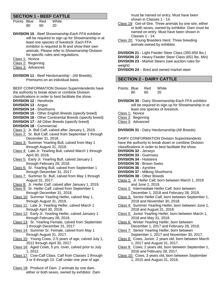# **SECTION 1 - BEEF CATTLE**

- Points: Blue Red White 80 60 20
- **DIVISION 10**  Beef Showmanship-Each FFA exhibitor will be required to sign up for Showmanship in at least one species of livestock. Each FFA exhibitor is required to fit and show their own animals. Please refer to Showmanship Division for specific rules and regulations.
- Class 1: Novice
- Class 2: Beginning
- Class 3: Advanced
- **DIVISION 11**  Beef Herdsmanship (All Breeds). Premiums on an individual basis.

BEEF CONFORMATION Division Superintendents have the authority to break down or combine Division classifications in order to best facilitate the show.

- **DIVISION 12**  Herefords
- **DIVISION 13**  Angus
- **DIVISION 14**  Shorthorns
- **DIVISION 15**  Other English Breeds (specify breed)
- **DIVISION 16**  Other Continental Breeds (specify breed)
- **DIVISION 17**  All Other Breeds (specify breed)
- **DIVISION 18** Commercial
- Class 1: Jr. Bull Calf, calved after January 1, 2019.
- Class 2: Sr. Bull Calf, caved from September 1 through December 31, 2018.
- Class 3: Summer Yearling Bull, calved from May 1 through August 31, 2018.
- Class 4: Late Jr. Yearling Bull, calved March 1 through April 30, 2018.
- Class 5: Early Jr. Yearling Bull, calved January 1 through February 28, 2018.
- Class 6: Sr. Yearling Bull, calved from September 1 through December 31, 2017.
- Class 7: Summer Sr. Bull, calved from May 1 through August 31, 2017.
- Class 8: Jr. Heifer Calf, calved after January 1, 2019.
- Class 9: Sr. Heifer Calf, calved from September 1 through December 31, 2018.
- Class 10: Summer Yearling Heifer, calved May 1, through August 31, 2018.
- Class 11: Late Jr. Yearling Heifer, calved March 1 through April 30, 2018.
- Class 12: Early Jr. Yearling Heifer, calved January 1 through February 28, 2018.
- Class 13: Sr. Yearling Female, calved from September 1 through December 31, 2017.
- Class 14: Summer Sr. Female, calved from May 1 through August 31, 2017.
- Class 15: Young Cows, 2-5 years of age, calved July 1, 2012 through April 30, 2017.
- Class 16: Aged Cows, 5 yrs. /over, calved prior to July 1, 2012.
- Class 17: Cow-Calf Class. Calf from Classes 1 through 3 or 8 through 10. Calf under one year of age.
- Class 18: Produce of Dam. 2 animals by one dam, either or both sexes, owned by exhibitor. Dam

must be named on entry. Must have been shown in Classes 1 - 14.

- Class 19: Get-of-Sire. Three animals by one sire, either or both sexes, owned by exhibitor. Dam must be named on entry. Must have been shown in Classes 1 - 14.
- Class 20: Young Breeders Herd. Three breeding animals owned by exhibitor.

**DIVISION 21** - Light Feeder Steer Class (350-650 lbs.) **DIVISION 22** - Heavy Feeder Steer Class (651 lbs. Min) **DIVISION 23** - Market Steers (see auction rules for weight)

**DIVISION 24** – Bred and owned market steer

# **SECTION 2 - DAIRY CATTLE**

Points: Blue Red White 80 60 20

**DIVISION 30** - Dairy Showmanship-Each FFA exhibitor will be required to sign up for Showmanship in at least one species of livestock.

- Class 1: Novice
- Class 2: Beginning
- Class 3: Advanced

**DIVISION 31** - Dairy Herdsmanship-(All Breeds)

DAIRY CONFORMATION Division Superintendents have the authority to break down or combine Division classifications in order to best facilitate the show.

- **DIVISION 32**  Jerseys
- **DIVISION 33**  Guernsey
- **DIVISION 34**  Holsteins
- **DIVISION 35**  Brown Swiss
- **DIVISION 36**  Ayrshire
- **DIVISION 37**  Milking Shorthorns
- **DIVISION 38**  Other Breeds
- Class 1: Jr. Heifer Calf, born between March 1, 2019 and June 1, 2019.
- Class 2: Intermediate Heifer Calf, born between December 1, 2018 and February 28, 2019.
- Class 3: Senior Heifer Calf, born between September 1, 2018 and November 30, 2018.
- Class 4: Summer Yearling Heifer, born between June 1, 2018 and August 31, 2018.
- Class 5: Junior Yearling Heifer, born between March 1, 2018 and May 31, 2018.
- Class 6: Winter Yearling Heifer, born between December 1, 2017 and February 28, 2018.
- Class 7: Senior Yearling Heifer, born between September 1, 2017 and November 30, 2017.
- Class 8: Cows, Junior, 2 years old, born between March 1, 2017 and August 31, 2017.
- Class 9: Cows, 2 years old, born between September 1, 2016 and February 28, 2017.
- Class 10: Cows, 3 years old, born between September 1, 2015 and August 31, 2016.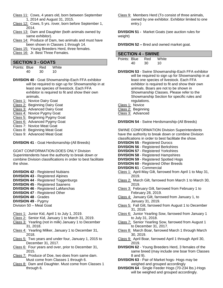- Class 11: Cows, 4 years old, born between September 1, 2014 and August 31, 2015.
- Class 12: Cows, 5 yrs. /over, born before September 1, 2014.
- Class 13: Dam and Daughter (both animals owned by same exhibitor).
- Class 14: Produce of Dam, two animals and must have been shown in Classes 1 through 14.
- Class 15: Young Breeders Herd, three females.
- Class 16: Jr. Best Three Females.

#### **SECTION 3 - GOATS**

| Points: Blue |    | Red | White |
|--------------|----|-----|-------|
|              | 40 | 30  | 10    |

- **DIVISION 40**  Goat Showmanship-Each FFA exhibitor will be required to sign up for Showmanship in at least one species of livestock. Each FFA exhibitor is required to fit and show their own animals.
- Class 1: Novice Dairy Goat
- Class 2: Beginning Dairy Goat
- Class 3: Advanced Dairy Goat
- Class 4: Novice Pygmy Goat
- Class 5: Beginning Pygmy Goat
- Class 6: Advanced Pygmy Goat
- Class 7: Novice Meat Goat
- Class 8: Beginning Meat Goat
- Class 9: Advanced Meat Goat

**DIVISION 41** - Goat Herdsmanship-(All Breeds)

GOAT CONFORMATION-DOES ONLY Division Superintendents have the authority to break down or combine Division classifications in order to best facilitate the show.

- **DIVISION 42**  Registered Nubians
- **DIVISION 43**  Registered Alpines
- **DIVISION 44**  Registered Toggenburgs
- **DIVISION 45**  Registered Saanens
- **DIVISION 46**  Registered LaManchas
- **DIVISION 47**  Registered Other
- **DIVISION 48**  Grades
- **DIVISION 49**  Pygmy
- Division 50 Meat Goat
- Class 1: Junior Kid, April 1 to July 1, 2019.
- Class 2: Senior Kid, January 1 to March 31, 2019.
- Class 3: Yearling (not in milk) January 1 to December 31, 2018.
- Class 4: Yearling Milker, January 1 to December 31, 2018.
- Class 5: Two years and under four, January 1, 2015 to December 31, 2017.
- Class 6: Four years and over, prior to December 31, 2015.
- Class 7: Produce of Doe, two does from same dam. Must come from Classes 1 through 6.
- Class 8: Dam and Daughter. Must come from Classes 1 through 6.

Class 9: Members Herd (To consist of three animals, owned by one exhibitor. Exhibitor limited to one entry.)

**DIVISION 51 -** Market Goats (see auction rules for weight)

**DIVISION 52 –** Bred and owned market goat.

## **SECTION 4 - SWINE**

| Points: Blue |    | Red | White |
|--------------|----|-----|-------|
|              | 40 | 30  | 10    |

**DIVISION 53** - Swine Showmanship-Each FFA exhibitor will be required to sign up for Showmanship in at least one species of livestock. Each FFA exhibitor is required to fit and show their own animals. Boars are not to be shown in Showmanship Classes. Please refer to the Showmanship Section for specific rules and regulations.

- Class 1: Novice
- Class 2: Beginning
- Class 3: Advanced

**DIVISION 54** - Swine Herdsmanship-(All Breeds)

SWINE CONFORMATION Division Superintendents have the authority to break down or combine Division classifications in order to best facilitate the show.

- **DIVISION 55** Registered Durocs
- **DIVISION 56** Registered Berkshires
- **DIVISION 57** Registered Yorkshires
- **DIVISION 58** Registered Hampshires
- **DIVISION 59** Registered Spotted Hogs
- **DIVISION 60** Registered Other Breeds
- **DIVISION 61** Commercial
- Class 1: April-May Gilt, farrowed from April 1 to May 31, 2019.
- Class 2: March Gilt, farrowed from March 1 to March 30, 2019.
- Class 3: February Gilt, farrowed from February 1 to February 28, 2019.
- Class 4: January Gilt, farrowed from January 1, to January 31, 2019.
- Class 5: Fall Gilt, farrowed from August 1 to December 31, 2018.
- Class 6: Junior Yearling Sow, farrowed from January 1 to July 31, 2018.
- Class 7: Senior Yearling Sow, farrowed from August 1 to December 31, 2017.
- Class 8: March Boar, farrowed March 1 through March 30, 2019.
- Class 9: April Boar, farrowed April 1 through April 30, 2019.
- **DIVISION 62** Young Breeders Herd, 3 females of the same breed (may include one boar from Classes 8 and 9).
- **DIVISION 63** Pair of Market hogs- Hogs may be weighed and grouped accordingly
- **DIVISION 64** Single Feeder Hogs (70-234 lbs.)-Hogs will be weighed and grouped accordingly.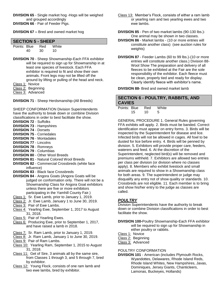**DIVISION 65** - Single market hog -Hogs will be weighed and grouped accordingly **DIVISION 66** - Pair of Feeder Pigs.

**DIVISION 67 –** Bred and owned market hog

#### **SECTION 5 - SHEEP**

| Points: Blue |    | <b>Red</b> | White |
|--------------|----|------------|-------|
|              | 40 | 30         | 10    |

**DIVISION 70** - Sheep Showmanship-Each FFA exhibitor will be required to sign up for Showmanship in at least one species of livestock. Each FFA exhibitor is required to fit and show their own animals. Front legs may not be lifted off the ground by lifting or pulling of the head and neck.

Class 1: Novice

Class 2: Beginning

Class 3: Advanced

**DIVISION 71** - Sheep Herdsmanship-(All Breeds)

SHEEP CONFORMATION Division Superintendents have the authority to break down or combine Division classifications in order to best facilitate the show.

- **DIVISION 72**  Suffolks
- **DIVISION 73**  Hampshires
- **DIVISION 74**  Dorsets
- **DIVISION 75**  Corriedales **DIVISION 76** - Montadales
- **DIVISION 77**  Lincolns
- 
- **DIVISION 78**  Romneys **DIVISION 79** - Columbias
- 
- **DIVISION 80** Other Wool Breeds
- **DIVISION 81** Natural Colored Wool Breeds
- **DIVISION 82** Commercial Crossbreds (white face influence)
- **DIVISION 83** Black face Crossbreds
- **DIVISION 84** Angora Goats (Angora Goats will be judged on conformation only. There will not be a Showmanship Class for Angora Goat exhibitors unless there are five or more exhibitors participating in the Yamhill County Fair.)
- Class 1: Sr. Ewe Lamb, prior to January 1, 2019.
- Class 2: Jr. Ewe Lamb, January 1 to June 30, 2019.
- Class 3: Pair of Ewe Lambs.
- Class 4: Yearling Ewe, September 1, 2017 to August 31, 2018.
- Class 5: Pair of Yearling Ewes.
- Class 6: Producing Ewe, prior to September 1, 2017, and have raised a lamb in 2018.
- Class 7: Sr. Ram Lamb, prior to January 1, 2019.
- Class 8: Jr. Ram Lamb, January 1 to June 30, 2019.
- Class 9: Pair of Ram Lambs.
- Class 10: Yearling Ram, September 1, 2015 to August 31, 2018.
- Class 11: Get of Sire, 3 animals all by the same sire, from Classes 1 through 3, and 5 through 7, bred by exhibitor.
- Class 12: Young Flock, consists of one ram lamb and two ewe lambs, bred by exhibitor.

Class 13: Member's Flock, consists of either a ram lamb or yearling ram and two yearling ewes and two ewe lambs.

**DIVISION 85** - Pen of two market lambs (90-130 lbs.)- One animal may be shown in two classes.

- **DIVISION 86**  Market lambs (10 or more entries will constitute another class) (see auction rules for weights)
- **DIVISION 87**  Feeder Lambs (60 to 99 lbs.)-(10 or more entries will constitute another class.) Division 88- Wool Show The preparation and delivery of all fleeces to be exhibited at the Fair are the sole responsibility of the exhibitor. Each fleece must be clean, properly tied and ready for display. Clearly identify fleece with exhibitor's name.

**DIVISION 88-** Bred and owned market lamb

# **SECTION 6 - POULTRY, RABBITS, AND CAVIES**

| Points: Blue |    | Red | White |
|--------------|----|-----|-------|
|              | 15 | 10  | -5    |

GENERAL PROCEDURE 1. General Rules governing FFA exhibits will apply. 2. Birds must be banded. Correct identification must appear on entry forms. 3. Birds will be inspected by the Superintendent for disease and lice. Infected birds will not be allowed in cages. All fowl to be dusted for lice before entry. 4. Birds will be penned by division. 5. Exhibitors will provide proper care, feeders, waterers and feed. 6. At the discretion of the Superintendent, neglected bird(s) will be removed and premiums withheld. 7. Exhibitors are allowed two entries per class per division (or division where no classes apply). 8. Members who exhibit livestock and small animals are required to show in a Showmanship class for both areas. 9. The superintendent or judge may disqualify any entry not of show quality or standards. 10. Crossbreds are not eligible. 11. Each member is to bring and show his/her entry to the judge as classes are called.

## *POULTRY*

Division Superintendents have the authority to break down or combine Division classifications in order to best facilitate the show.

- **DIVISION 100-**Poultry Showmanship-Each FFA exhibitor will be required to sign up for Showmanship in either poultry or rabbits.
- Class 1: Novice
- Class 2: Beginning
- Class 3: Advanced

#### POULTRY CONFORMATION

**DIVISION 101** - American (includes Plymouth Rocks, Wyandottes, Delawares, Rhode Island Reds, Rhode Island Whites, New Hampshires, Javas, Dominiques, Jersey Giants, Chanticleers, Lamonas, Buckeyes, Hollands)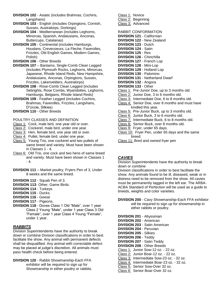- **DIVISION 102**  Asiatic (includes Brahmas, Cochins, Langshans)
- **DIVISION 103**  English (includes Orpingtons, Cornish, Sussex, Australorps, Dorkings)
- **DIVISION 104** Mediterranean (includes Leghorns, Minorcas, Spanish, Andalusians, Anconas, Buttercups, Catalanas)
- **DIVISION 105** Continental (includes Hamburgs, Houdans, Crevecoeurs, La Fleche, Faverolles, Frizzles, Old English Games, Modern Games, Polish)
- **DIVISION 106** Other Breeds
- **DIVISION 107** Bantams, Single-Comb Clean Legged (includes Plymouth Rocks, Leghorns, Minorcas, Japanese, Rhode Island Reds, New Hampshire, Andalusians, Anconas, Orpingtons, Sussex, Frizzles, Lakenvelders, Australorps)
- **DIVISION 108** Rose-Comb Clean Legged (includes Sebrights, Rose Combs, Wyandottes, Leghorns, Hamburgs, Belgians, Rhode Island Reds)
- **DIVISION 109** Feather Legged (includes Cochins, Brahmas, Faverolles, Frizzles, Langshans, D'Uccle, Silkies)
- **DIVISION 110** Other Breeds
- POULTRY CLASSES AND DEFINITION
- Class 1: Cock, male bird, one year old or over.
- Class 2: Cockerel, male bird, under one year.
- Class 3: Hen, female bird, one year old or over.
- Class 4: Pullet, female bird, under one year.
- Class 5: Young Trio, one cockerel and two pullets of same breed and variety. Must have been shown in Classes 1 - 4.
- Class 6: Old Trio, one cock and two hens of same breed and variety. Must have been shown in Classes 1  $- 4.$
- **DIVISION 111** Market poultry, Fryers Pen of 3, Under 8 weeks and the same breed.
- **DIVISION 112**  Squab Pen of 3.
- **DIVISION 113** Other, Game Birds.
- **DIVISION 114**  Turkeys
- **DIVISION 115**  Ducks.
- **DIVISION 116**  Geese
- **DIVISION 117**  Pigeons.
- **DIVISION 118**  Doves Class 1 Old "Male", over 1 year Class 2 Young "Male", under 1 year Class 3 Old "Female", over 1 year Class 4 Young "Female", under 1 year.

## *RABBITS*

Division Superintendents have the authority to break down or combine Division classifications in order to best facilitate the show. Any animal with permanent defects shall be disqualified. Any animal with correctable defect may be placed at judge's discretion. All animals must pass health check before being entered.

**DIVISION 120** - Rabbit Showmanship-Each FFA exhibitor will be required to sign up for Showmanship in either poultry or rabbits. Class 1: Novice Class 2: Beginning Class 3: Advanced

#### RABBIT CONFORMATION

- **DIVISION 121**  Californian
- **DIVISION 122**  New Zealand
- **DIVISION 123**  Dutch
- **DIVISION 124**  Satin
- **DIVISION 125**  Rex
- **DIVISION 126**  Chinchilla
- **DIVISION 127**  French Lop
- **DIVISION 128**  Mini-Lop
- **DIVISION 129**  Holland Lop **DIVISION 130** - Palomino
- 
- **DIVISION 131**  Netherland Dwarf
- **DIVISION 132**  Angora
- **DIVISION 133**  Other
- Class 1: Pre-Junior Doe, up to 3 months old.
- Class 2: Junior Doe, 3 to 6 months old.
- Class 3: Intermediate Doe, 6 to 8 months old.
- Class 4: Senior Doe, over 8 months and must have kindled this year.
- Class 5: Pre-Junior Buck, up to 3 months old.
- Class 6: Junior Buck, 3 to 6 months old.
- Class 7: Intermediate Buck, 6 to 8 months old.
- Class 8: Senior Buck, over 8 months old.
- Class 9: Fryer, under 65 days.
- Class 10: Fryer Pen, under 65 days and the same breed.
- Class 11: Bred and owned fryer pen

## *CAVIES*

Division Superintendents have the authority to break down or combine

Division classifications in order to best facilitate the show. Any animals found to be ill, diseased, weak or in distress need to be removed from the show. All cavies must be permanently tagged in the left ear. The ARBA-ACBA Standard of Perfection will be used as a guide to breeds, weights and color varieties.

**DIVISION 200** - Cavy Showmanship-Each FFA exhibitor will be required to sign up for showmanship in either rabbits or poultry.

| <b>DIVISION 201 - Abyssinian</b>           |
|--------------------------------------------|
| <b>DIVISION 202 - American</b>             |
| <b>DIVISION 203 - Satin American</b>       |
| <b>DIVISION 204 - Peruvian</b>             |
| <b>DIVISION 205 - Silkies</b>              |
| <b>DIVISION 206 - Teddy</b>                |
| <b>DIVISION 207 - Satin Teddy</b>          |
| <b>DIVISION 208 - Other Breeds</b>         |
| Class 1: Junior Sow-12 oz. - 22 oz.        |
| Class 2: Junior Boar-12 oz. - 22 oz.       |
| Class 3: Intermediate Sow-23 oz. - 32 oz.  |
| Class 4: Intermediate Boar-23 oz. - 32 oz. |
| Class 5: Senior Sow-Over 32 oz.            |
| Class 6: Senior Boar-Over 32 oz.           |
|                                            |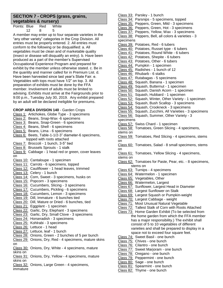# **SECTION 7 - CROPS (grass, grains, vegetables & nursery)**

| Points: Blue |    | Red | White |
|--------------|----|-----|-------|
|              | 12 | 8   | 5     |
|              |    |     |       |

A member may enter up to four separate varieties in the "any other variety" categories in the Crop Division. All entries must be properly entered. 2. All entries must conform to the following or be disqualified: a. All vegetables must be clean and of marketable quality (insect or disease will disqualify an entry). b. Have been produced as a part of the member's Supervised Occupational Experience Program and prepared for exhibit by the member unless otherwise stated. c. Be in the quantity and manner called for in Premium List. d. Have been harvested since last year's State Fair. e. Vegetables with tops must have 1/2" on top. 3. All preparation of exhibits must be done by the FFA member. Involvement of adults must be limited to advising. Exhibits must arrive at the Fairgrounds prior to 9:00 p.m., Tuesday July 30, 2019. Any exhibit prepared by an adult will be declared ineligible for premiums.

**CROP AREA DIVISION 140** - Garden Crops Class 1: Artichokes, Globe Type - 3 specimens Class 2: Beans, Snap-Wax -6 specimens Class 3: Beans, Snap-Green - 6 specimens Class 4: Beans, Shell - 6 specimens Class 5: Beans, Lima - 6 specimens Class 6: Beets, Table-1-1/2-3" diameter-6 specimens, topped with roots attached Class 7: Broccoli - 1 bunch, 3-5" tied Class 8: Brussels Sprouts - 1 stalk Class 9: Cabbage - 1 head red or green, cover leaves on Class 10: Cantaloupe - 1 specimen Class 11: Carrots - 6 specimens, topped Class 12: Cauliflower - 1 head leaves, trimmed Class 13: Celery - 1 bunch Class 14: Corn, Sweet - 3 specimens, husks on Class 15: Popcorn - 3 specimens Class 16: Cucumbers, Slicing - 3 specimens Class 17: Cucumbers, Pickling - 6 specimens Class 18: Cucumbers, Lemon - 3 specimens Class 19: Dill, Immature - 6 bunches tied Class 20: Dill, Mature or Dried - 6 bunches, tied Class 21: Eggplant - 1 specimen Class 22: Garlic, Dry, Elephant - 3 specimens Class 23: Garlic, Dry, Small Clove - 3 specimens Class 24: Horseradish - 3 specimens Class 25: Kohlrabi - 3 specimens Class 26: Lettuce - 1 head Class 27: Lettuce, leaf - 1 bunch Class 28: Onions, Green - 2 bunches of 5 per bunch Class 29: Onions, Dry, Red - 4 specimens, mature skins on Class 30: Onions, Dry, White - 4 specimens, mature skins on Class 31: Onions, Dry, Yellow - 4 specimens, mature skins on Class 32: Onions, Large Green - 4 specimens, immature

Class 33: Parsley - 1 bunch Class 34: Parsnips - 5 specimens, topped Class 35: Peppers, Green, Mild - 3 specimens Class 36: Peppers, Green, Hot - 3 specimens Class 37: Peppers, Yellow, Wax - 3 specimens Class 38: Peppers, Bell, all colors & varieties - 3 specimens Class 39: Potatoes, Red - 6 tubers Class 40: Potatoes, Russet type - 6 tubers Class 41: Potatoes, Round White - 6 tubers Class 42: Potatoes, Shepite - 6 tubers Class 43: Potatoes, Other - 6 tubers Class 44: Pumpkin - 1 specimen Class 45: Radishes - 1 bunch of 12 Class 46: Rhubarb - 6 stalks Class 47: Rutabagas - 5 specimens Class 48: Squash, Banana - 1 specimen Class 49: Squash, Butternut - 1 specimen Class 50: Squash, Danish Acorn - 1 specimen Class 51: Squash, Hubbard - 1 specimen Class 52: Squash, Winter, Other Variety - 1 specimen Class 53: Squash, Bush Scallop - 3 specimens Class 54: Squash, Crookneck - 3 specimens Class 55: Squash, Zucchini, All Varieties - 3 specimens Class 56: Squash, Summer, Other Variety - 3 specimens Class 57: Swiss Chard - 1 specimen Class 58: Tomatoes, Green Slicing - 4 specimens, stems on Class 59: Tomatoes, Red Slicing - 4 specimens, stems on Class 60: Tomatoes, Salad - 8 small specimens, stems on Class 61: Tomatoes, Yellow Slicing - 4 specimens, stems on Class 62: Tomatoes for Paste, Pear, etc. - 8 specimens, stems on Class 63: Turnips - 4 specimens Class 64: Watermelon - 1 specimen Class 65: Vegetables, Other Class 66: Watermelon, Largest Class 67: Sunflower, Largest Head in Diameter Class 68: Largest Sunflower on Stalk Class 69: Largest Squash or Pumpkin-weight Class 70: Largest Cabbage - weight Class 71: Most Unusual Natural Vegetable Class 72: Tallest Stalk of Corn with Roots Attached Class 73: Home Garden Exhibit (To be selected from the home garden from which the FFA member has a major responsibility.) The exhibit shall consist of 5 to 10 vegetables of different varieties and shall be prepared to display in a space not to exceed four square feet. Class 74: Sweet Basil - one bunch Class 75: Chives - one bunch Class 76: Cilantro - one bunch Class 77: Sweet Marjoram - one bunch Class 78: Oregano - one bunch Class 79: Peppermint - one bunch Class 80: Sage - one bunch Class 81: Spearmint - one bunch

Class 82: Thyme - one bunch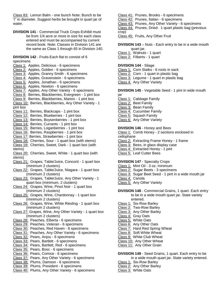Class 83: Lemon Balm - one bunch Note: Bunch to be 1" in diameter. Suggest herbs be brought in quart jar of water.

**DIVISION 141** - Commercial Truck Crops-Exhibit must be from 1/4 acre or more in size for each class entered and must be accompanied by current record book. Note: Classes in Division 141 are the same as Class 1 through 65 in Division 140.

#### **DIVISION 142** - Fruits-Each flat to consist of 6 specimens

Class 1: Apples, Delicious - 6 specimens Class 2: Apples, Golden - 6 specimens Class 3: Apples, Granny Smith - 6 specimens Class 4: Apples, Gravenstein - 6 specimens Class 5: Apples, Jonathan - 6 specimens Class 6: Apples, Newton - 6 specimens Class 7: Apples, Any Other Variety - 6 specimens Class 8: Berries, Blackberries, Evergreen - 1 pint box Class 9: Berries, Blackberries, Marion - 1 pint box Class 10: Berries, Blackberries, Any Other Variety - 1 pint box Class 11: Berries, Blackcaps - 1 pint box Class 12: Berries, Blueberries - 1 pint box Class 13: Berries, Boysenberries - 1 pint box Class 14: Berries, Currants - 1 pint box Class 15: Berries, Loganberries - 1 pint box Class 16: Berries, Raspberries - 1 pint box Class 17: Berries, Strawberries - 1 pint box Class 18: Cherries, Sour - 1 quart box (with stems) Class 19: Cherries, Sweet, Dark - 1 quart box (with stems) Class 20: Cherries, Sweet, White - 1 quart box (with stems) Class 21: Grapes, Table/Juice, Concord - 1 quart box (minimum 2 clusters) Class 22: Grapes, Table/Juice, Niagara - 1 quart box (minimum 2 clusters) Class 23: Grapes, Table/Juice, Any Other Variety - 1 quart box (minimum, 2 clusters) Class 24: Grapes, Wine, Pinot Noir - 1 quart box (minimum 2 clusters) Class 25: Grapes, Wine, Chardonnay - 1 quart box (minimum 2 clusters) Class 26: Grapes, Wine, White Riesling - 1 quart box (minimum 2 clusters) Class 27: Grapes, Wine, Any Other Variety - 1 quart box (minimum 2 clusters) Class 28: Peaches, Elberta - 6 specimens Class 29: Peaches, Veteran - 6 specimens Class 30: Peaches, Red Haven - 6 specimens Class 31: Peaches, Any Other Variety - 6 specimens Class 32: Pears, Anjou - 6 specimens Class 33: Pears, Bartlett - 6 specimens Class 34: Pears, Bartlett, Red - 6 specimens Class 35: Pears, Bosc - 6 specimens Class 36: Pears, Comice - 6 specimens Class 37: Pears, Any Other Variety - 6 specimens Class 38: Plums, Damson - 6 specimens Class 39: Plums, President - 6 specimens Class 40: Plums, Any Other Variety - 6 specimens

#### Class 41: Prunes, Brooks - 6 specimens

- Class 42: Prunes, Italian 6 specimens
- Class 43: Prunes, Any Other Variety 6 specimens

Class 44: Prunes, Dried- 1 quart plastic bag (previous crop)

Class 45: Fruits, Any Other Fruit

**DIVISION 143** – Nuts - Each entry to be in a wide mouth quart jar.

- Class 1: Walnuts 1 quart
- Class 2: Filberts 1 quart

#### **DIVISION 144** - Silage

- Class 1: Corn Stalks 6 roots in sack
- Class 2: Corn 1 quart in plastic bag
- Class 3: Legume 1 quart in plastic bag
- Class 4: Any Other Variety

**DIVISION 145** - Vegetable Seed - 1 pint in wide mouth jar

- Class 1: Cabbage Family
- Class 2: Beet Family
- Class 3: Bean Family
- Class 4: Cucumber Family
- Class 5: Squash Family
- Class 6: Any Other Variety

#### **DIVISION 146** - Honey and Bees

Class 1: Comb Honey - 2 sections enclosed in cellophane

- Class 2: Extracting Frame Honey 1 frame
- Class 3: Bees, in glass display case
- Class 4: Extracted Honey 1 pint
- Class 5: Leaf Cutter Bees

#### **DIVISION 147** - Specialty Crops

- Class 1: Mint Oil 3 oz. minimum
- Class 2: Sugar Beets 3 specimens
- Class 3: Sugar Beet Seed 1 pint in a wide mouth jar
- Class 4: Canola
- Class 5: Any Other Variety

#### **DIVISION 148** - Commercial Grains, 1 quart. Each entry to be in a wide mouth quart jar. State variety

- entered.
- Class 1: Six-Row Barley
- Class 2: Two-Row Barley
- Class 3: Any Other Barley
- Class 4: Gray Oats
- Class 5: White Oats
- Class 6: Any Other Oats
- Class 7: Hard Red Spring Wheat
- Class 8: Soft White Wheat
- Class 9: White Club Wheat
- Class 10: Any Other Wheat
- Class 11: Any Other Grain

#### **DIVISION 149** - Seed Grains, 1 quart. Each entry to be in a wide mouth quart jar. State variety entered.

- Class 1: Six-Row Barley
- Class 2: Any Other Barley
- Class 3: White Oats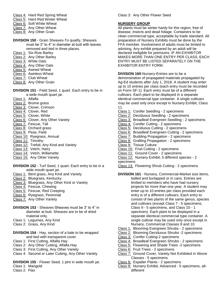- Class 4: Hard Red Spring Wheat
- Class 5: Hard Red Winter Wheat
- Class 6: Soft White Wheat
- Class 7: Any Other Wheat
- Class 8: Any Other Grain
- **DIVISION 150** Grain Sheaves-To qualify, Sheaves must be 3" to 4" in diameter at butt with leaves removed and tied in three places.
- Class 1: Six-Row Barley
- Class 2: Any Other Barley
- Class 3: White Oats
- Class 4: Any Other Oats
- Class 5: Awned Wheat
- Class 6: Awnless Wheat
- Class 7: Club Wheat
- Class 8: Any Other Grain

**DIVISION 151** - Field Seed, 1 quart. Each entry to be in a wide mouth quart jar.

- Class 1: Alfalfa
- Class 2: Brome grass
- Class 3: Clover, Crimson
- Class 4: Clover, Red
- Class 5: Clover, White
- Class 6: Clover, Any Other Variety
- Class 7: Fescue, Tall
- Class 8: Orchard grass
- Class 9: Peas, Field
- Class 10: Ryegrass, Annual
- Class 11: Timothy
- Class 12: Trefoil, Any Kind and Variety
- Class 13: Vetch, Hairy
- Class 14: Vetch, Willamette
- Class 15: Any Other Variety
- **DIVISION 152** Turf Seed, 1 quart. Each entry to be in a wide mouth quart jar.
- Class 1: Bent grass, Any Kind and Variety
- Class 2: Bluegrass, Kentucky
- Class 3: Bluegrass, Any Other Kind or Variety
- Class 4: Fescue, Chewing
- Class 5: Fescue, Red Creeping
- Class 6: Ryegrass, Perennial
- Class 7: Any Other Variety
- **DIVISION 153** Sheaves-Sheaves must be 3" to 4" in diameter at butt. Sheaves are to be of dried material only.
- Class 1: Legumes, Any Kind
- Class 2: Grass, Any Kind
- **DIVISION 154** Hay, section of a bale to be wrapped and tied with transparent cover.
- Class 1: First Cutting, Alfalfa Hay
- Class 2: Any Other Cutting, Alfalfa Hay
- Class 3: First Cutting, Any Other Variety
- Class 4: Second or Later Cutting, Any Other Variety
- **DIVISION 155** Flower Seed, 1 pint in wide mouth jar.
- Class 1: Marigold
- Class 2: Flax

Class 3: Any Other Flower Seed

#### **NURSERY GROUP**

All plants must be winter hardy for this region, free of disease, insects and dead foliage. Containers to be clean commercial type, acceptable by trade standard. All preparation of Nursery Exhibits must be done by the FFA member. Involvement of adults must be limited to advising. Any exhibit prepared by an adult will be declared ineligible for premiums. IF AN EXHIBITOR MAKES MORE THAN ONE ENTRY PER CLASS, EACH ENTRY MUST BE LISTED SEPARATELY ON THE EXHIBITOR ENTRY FORM.

**DIVISION 160**-Nursery-Entries are to be a demonstration of propagated materials propagated by Ag-Ed students after July 1, 2018. A student may enter up to 10 entries per class (each entry must be recorded on Form SF-1). Each entry must be of a different cultivars. Each plant to be displayed in a separate identical commercial type container. A single cultivars may be used only once except in Nursery Exhibit, Class 11.

- Class 1: Conifer Seedling 2 specimens
- Class 2: Deciduous Seedling 2 specimens
- Class 3: Broadleaf Evergreen Seedling 2 specimens
- Class 4: Conifer Cutting 2 specimens
- Class 5: Deciduous Cutting 2 specimens
- Class 6: Broadleaf Evergreen Cutting 2 specimens
- Class 7: Budding Propagation 2 specimens
- Class 8: Grafting Propagation 2 specimens
- Class 9: Tissue Culture
- Class 10: Fruit Cutting 2 specimens
- Class 11: Ground Cover 2 specimens
- Class 12: Nursery Exhibit, 5 different species 2 specimens
- Class 13: Flowering Shrub Cutting 2 specimens

#### **DIVISION 161** - Nursery, Commercial-Market size items, balled and burlapped or in cans. Entries are limited to members who have had nursery projects for more than one year. A student may enter up to 10 entries per class provided each entry is of a different cultivars. Each entry to consist of two plants of the same genus, species and cultivars (except Class 7 - 5 specimens, Class 9 - 5 specimens, and Class 10 - 1 specimen). Each plant to be displayed in a separate identical commercial type container. A single cultivar may be used only once except in Nursery, Commercial Classes 9 and 10.

- Class 1: Blooming Evergreen Shrubs 2 specimens
- Class 2: Blooming Deciduous Shrubs -2 specimens
- Class 3: Conifer Cutting-2 specimens
- Class 4: Broadleaf Evergreen Shrubs 2 specimens
- Class 5: Flowering and Shade Trees -2 specimens
- Class 6: Fruit Trees 2 specimens
- Class 7: Ground Cover, Variety Not Exhibited in Above Classes - 5 specimens
- Class 8: Espalier Plants 2 specimens
- Class 9: Nursery Exhibit, Advanced 5 specimens, alldifferent